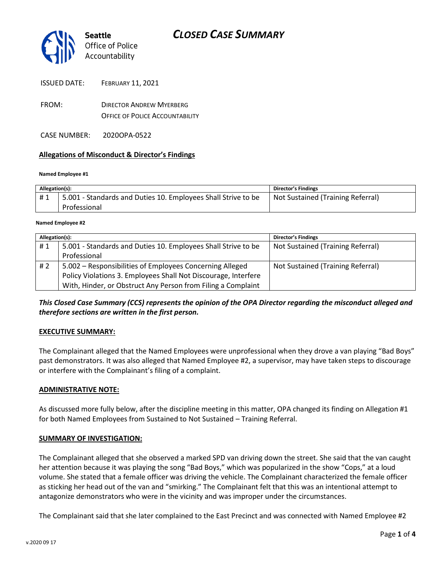

- FROM: DIRECTOR ANDREW MYERBERG OFFICE OF POLICE ACCOUNTABILITY
- CASE NUMBER: 2020OPA-0522

### **Allegations of Misconduct & Director's Findings**

### **Named Employee #1**

| Allegation(s): |                                                               | Director's Findings               |
|----------------|---------------------------------------------------------------|-----------------------------------|
| #1             | 5.001 - Standards and Duties 10. Employees Shall Strive to be | Not Sustained (Training Referral) |
|                | Professional                                                  |                                   |

#### **Named Employee #2**

| Allegation(s): |                                                                | <b>Director's Findings</b>        |
|----------------|----------------------------------------------------------------|-----------------------------------|
| #1             | 5.001 - Standards and Duties 10. Employees Shall Strive to be  | Not Sustained (Training Referral) |
|                | Professional                                                   |                                   |
| #2             | 5.002 – Responsibilities of Employees Concerning Alleged       | Not Sustained (Training Referral) |
|                | Policy Violations 3. Employees Shall Not Discourage, Interfere |                                   |
|                | With, Hinder, or Obstruct Any Person from Filing a Complaint   |                                   |

## *This Closed Case Summary (CCS) represents the opinion of the OPA Director regarding the misconduct alleged and therefore sections are written in the first person.*

### **EXECUTIVE SUMMARY:**

The Complainant alleged that the Named Employees were unprofessional when they drove a van playing "Bad Boys" past demonstrators. It was also alleged that Named Employee #2, a supervisor, may have taken steps to discourage or interfere with the Complainant's filing of a complaint.

### **ADMINISTRATIVE NOTE:**

As discussed more fully below, after the discipline meeting in this matter, OPA changed its finding on Allegation #1 for both Named Employees from Sustained to Not Sustained – Training Referral.

### **SUMMARY OF INVESTIGATION:**

The Complainant alleged that she observed a marked SPD van driving down the street. She said that the van caught her attention because it was playing the song "Bad Boys," which was popularized in the show "Cops," at a loud volume. She stated that a female officer was driving the vehicle. The Complainant characterized the female officer as sticking her head out of the van and "smirking." The Complainant felt that this was an intentional attempt to antagonize demonstrators who were in the vicinity and was improper under the circumstances.

The Complainant said that she later complained to the East Precinct and was connected with Named Employee #2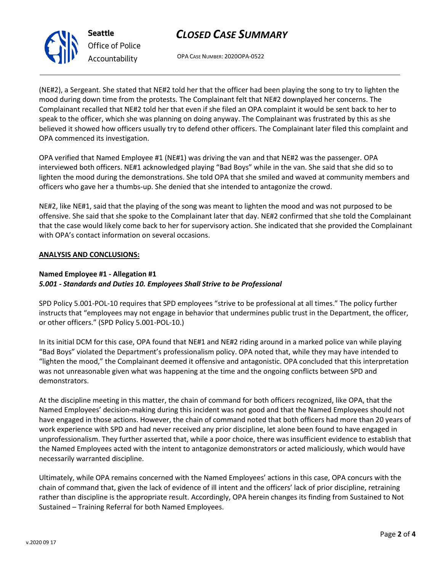## *CLOSED CASE SUMMARY*

OPA CASE NUMBER: 2020OPA-0522

(NE#2), a Sergeant. She stated that NE#2 told her that the officer had been playing the song to try to lighten the mood during down time from the protests. The Complainant felt that NE#2 downplayed her concerns. The Complainant recalled that NE#2 told her that even if she filed an OPA complaint it would be sent back to her to speak to the officer, which she was planning on doing anyway. The Complainant was frustrated by this as she believed it showed how officers usually try to defend other officers. The Complainant later filed this complaint and OPA commenced its investigation.

OPA verified that Named Employee #1 (NE#1) was driving the van and that NE#2 was the passenger. OPA interviewed both officers. NE#1 acknowledged playing "Bad Boys" while in the van. She said that she did so to lighten the mood during the demonstrations. She told OPA that she smiled and waved at community members and officers who gave her a thumbs-up. She denied that she intended to antagonize the crowd.

NE#2, like NE#1, said that the playing of the song was meant to lighten the mood and was not purposed to be offensive. She said that she spoke to the Complainant later that day. NE#2 confirmed that she told the Complainant that the case would likely come back to her for supervisory action. She indicated that she provided the Complainant with OPA's contact information on several occasions.

### **ANALYSIS AND CONCLUSIONS:**

## **Named Employee #1 - Allegation #1** *5.001 - Standards and Duties 10. Employees Shall Strive to be Professional*

SPD Policy 5.001-POL-10 requires that SPD employees "strive to be professional at all times." The policy further instructs that "employees may not engage in behavior that undermines public trust in the Department, the officer, or other officers." (SPD Policy 5.001-POL-10.)

In its initial DCM for this case, OPA found that NE#1 and NE#2 riding around in a marked police van while playing "Bad Boys" violated the Department's professionalism policy. OPA noted that, while they may have intended to "lighten the mood," the Complainant deemed it offensive and antagonistic. OPA concluded that this interpretation was not unreasonable given what was happening at the time and the ongoing conflicts between SPD and demonstrators.

At the discipline meeting in this matter, the chain of command for both officers recognized, like OPA, that the Named Employees' decision-making during this incident was not good and that the Named Employees should not have engaged in those actions. However, the chain of command noted that both officers had more than 20 years of work experience with SPD and had never received any prior discipline, let alone been found to have engaged in unprofessionalism. They further asserted that, while a poor choice, there was insufficient evidence to establish that the Named Employees acted with the intent to antagonize demonstrators or acted maliciously, which would have necessarily warranted discipline.

Ultimately, while OPA remains concerned with the Named Employees' actions in this case, OPA concurs with the chain of command that, given the lack of evidence of ill intent and the officers' lack of prior discipline, retraining rather than discipline is the appropriate result. Accordingly, OPA herein changes its finding from Sustained to Not Sustained – Training Referral for both Named Employees.



**Seattle** *Office of Police Accountability*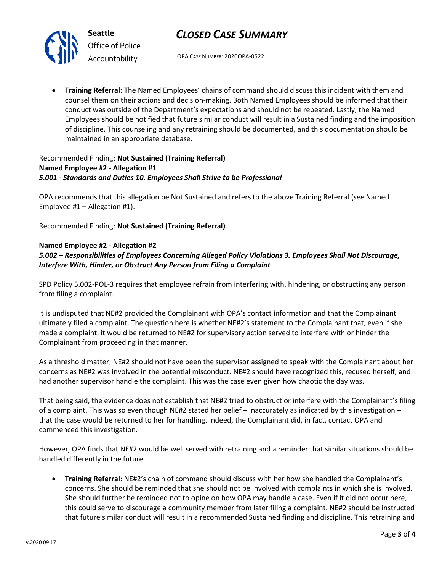



*Office of Police Accountability*

OPA CASE NUMBER: 2020OPA-0522

• **Training Referral**: The Named Employees' chains of command should discuss this incident with them and counsel them on their actions and decision-making. Both Named Employees should be informed that their conduct was outside of the Department's expectations and should not be repeated. Lastly, the Named Employees should be notified that future similar conduct will result in a Sustained finding and the imposition of discipline. This counseling and any retraining should be documented, and this documentation should be maintained in an appropriate database.

### Recommended Finding: **Not Sustained (Training Referral) Named Employee #2 - Allegation #1** *5.001 - Standards and Duties 10. Employees Shall Strive to be Professional*

OPA recommends that this allegation be Not Sustained and refers to the above Training Referral (*see* Named Employee  $#1 -$  Allegation  $#1$ ).

Recommended Finding: **Not Sustained (Training Referral)**

## **Named Employee #2 - Allegation #2**

## *5.002 – Responsibilities of Employees Concerning Alleged Policy Violations 3. Employees Shall Not Discourage, Interfere With, Hinder, or Obstruct Any Person from Filing a Complaint*

SPD Policy 5.002-POL-3 requires that employee refrain from interfering with, hindering, or obstructing any person from filing a complaint.

It is undisputed that NE#2 provided the Complainant with OPA's contact information and that the Complainant ultimately filed a complaint. The question here is whether NE#2's statement to the Complainant that, even if she made a complaint, it would be returned to NE#2 for supervisory action served to interfere with or hinder the Complainant from proceeding in that manner.

As a threshold matter, NE#2 should not have been the supervisor assigned to speak with the Complainant about her concerns as NE#2 was involved in the potential misconduct. NE#2 should have recognized this, recused herself, and had another supervisor handle the complaint. This was the case even given how chaotic the day was.

That being said, the evidence does not establish that NE#2 tried to obstruct or interfere with the Complainant's filing of a complaint. This was so even though NE#2 stated her belief – inaccurately as indicated by this investigation – that the case would be returned to her for handling. Indeed, the Complainant did, in fact, contact OPA and commenced this investigation.

However, OPA finds that NE#2 would be well served with retraining and a reminder that similar situations should be handled differently in the future.

• **Training Referral**: NE#2's chain of command should discuss with her how she handled the Complainant's concerns. She should be reminded that she should not be involved with complaints in which she is involved. She should further be reminded not to opine on how OPA may handle a case. Even if it did not occur here, this could serve to discourage a community member from later filing a complaint. NE#2 should be instructed that future similar conduct will result in a recommended Sustained finding and discipline. This retraining and